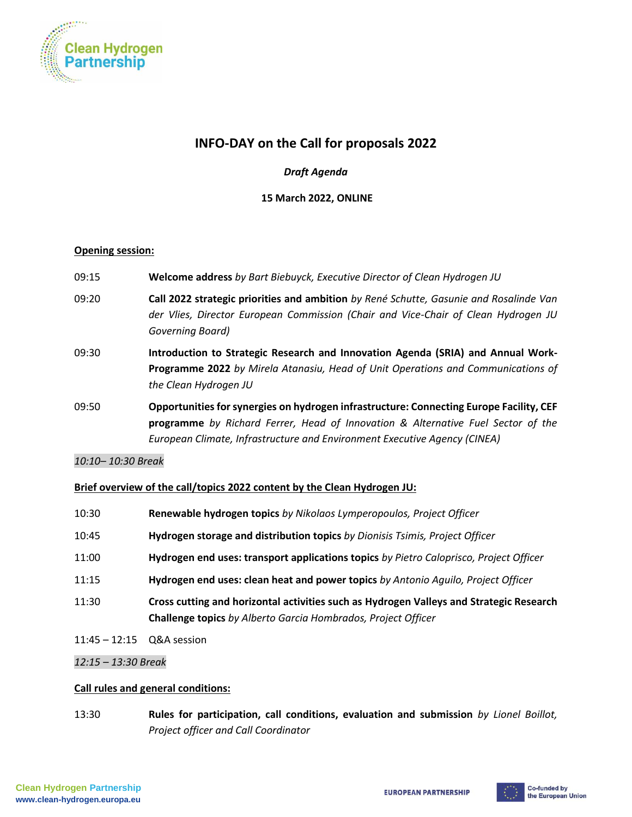

# **INFO-DAY on the Call for proposals 2022**

## *Draft Agenda*

### **15 March 2022, ONLINE**

#### **Opening session:**

- 09:15 **Welcome address** *by Bart Biebuyck, Executive Director of Clean Hydrogen JU*
- 09:20 **Call 2022 strategic priorities and ambition** *by René Schutte, Gasunie and Rosalinde Van der Vlies, Director European Commission (Chair and Vice-Chair of Clean Hydrogen JU Governing Board)*
- 09:30 **Introduction to Strategic Research and Innovation Agenda (SRIA) and Annual Work-Programme 2022** *by Mirela Atanasiu, Head of Unit Operations and Communications of the Clean Hydrogen JU*
- 09:50 **Opportunities for synergies on hydrogen infrastructure: Connecting Europe Facility, CEF programme** *by Richard Ferrer, Head of Innovation & Alternative Fuel Sector of the European Climate, Infrastructure and Environment Executive Agency (CINEA)*

*10:10– 10:30 Break* 

#### **Brief overview of the call/topics 2022 content by the Clean Hydrogen JU:**

| 10:30                       | Renewable hydrogen topics by Nikolaos Lymperopoulos, Project Officer                                                                                     |
|-----------------------------|----------------------------------------------------------------------------------------------------------------------------------------------------------|
| 10:45                       | Hydrogen storage and distribution topics by Dionisis Tsimis, Project Officer                                                                             |
| 11:00                       | Hydrogen end uses: transport applications topics by Pietro Caloprisco, Project Officer                                                                   |
| 11:15                       | Hydrogen end uses: clean heat and power topics by Antonio Aquilo, Project Officer                                                                        |
| 11:30                       | Cross cutting and horizontal activities such as Hydrogen Valleys and Strategic Research<br>Challenge topics by Alberto Garcia Hombrados, Project Officer |
| $11:45 - 12:15$ Q&A session |                                                                                                                                                          |

*12:15 – 13:30 Break* 

#### **Call rules and general conditions:**

13:30 **Rules for participation, call conditions, evaluation and submission** *by Lionel Boillot, Project officer and Call Coordinator*